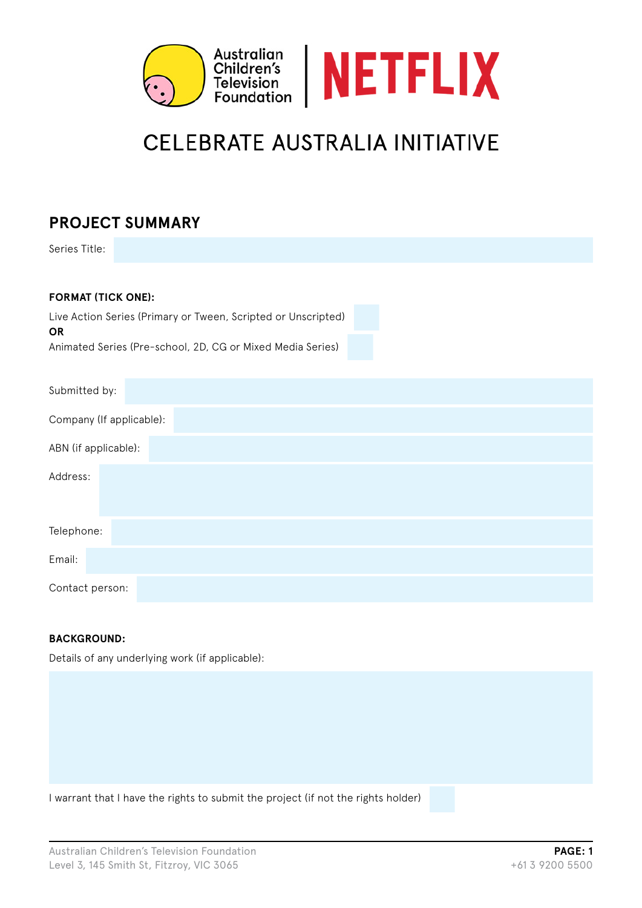

# **CELEBRATE AUSTRALIA INITIATIVE**

# **PROJECT SUMMARY**

Series Title:

| <b>FORMAT (TICK ONE):</b>                                           |  |  |  |  |  |  |
|---------------------------------------------------------------------|--|--|--|--|--|--|
| Live Action Series (Primary or Tween, Scripted or Unscripted)<br>OR |  |  |  |  |  |  |
| Animated Series (Pre-school, 2D, CG or Mixed Media Series)          |  |  |  |  |  |  |
| Submitted by:                                                       |  |  |  |  |  |  |
| Company (If applicable):                                            |  |  |  |  |  |  |
| ABN (if applicable):                                                |  |  |  |  |  |  |
| Address:                                                            |  |  |  |  |  |  |
| Telephone:                                                          |  |  |  |  |  |  |
| Email:                                                              |  |  |  |  |  |  |
| Contact person:                                                     |  |  |  |  |  |  |

## **BACKGROUND:**

Details of any underlying work (if applicable):

I warrant that I have the rights to submit the project (if not the rights holder)